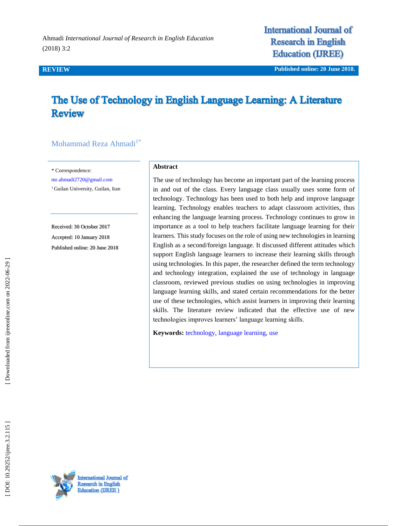Ahmadi *International Journal of Research in English Education*  (2018) 3:2

**International Journal of Research in English Education (IREE)** 

**REVIEW Published online : 20 June 2018 .**

# The Use of Technology in English Language Learning: A Literature **Review**

#### Mohammad Reza Ahmadi<sup>1\*</sup>

\* Correspondence:

[mr.ahmadi2720@gmail.com](mailto:mr.ahmadi2720@gmail.com)

<sup>1</sup> Guilan University, Guilan, Iran

Received: 30 October 201 7 Accepted: 10 January 201 8 Published online : 20 June 2018

#### **Abstract**

The use of technology has become an important part of the learning process in and out of the class. Every language class usually uses some form of technology. Technology has been used to both help and improve language learning. Technology enables teachers to adapt classroom activities, thus enhancing the language learning process. Technology continues to grow in importance as a tool to help teachers facilitate language learning for their learners. This study focuses on the role of using new technologies in learning English as a second/foreign language. It discussed different attitudes which support English language learners to increase their learning skills through using technologies. In this paper, the researcher defined the term technology and technology integration, explained the use of technology in language classroom, reviewed previous studies on using technologies in improving language learning skills, and stated certain recommendations for the better use of these technologies, which assist learners in improving their learning skills. The literature review indicated that the effective use of new technologies improves learners' language learning skills.

**Keywords:** [technology,](http://ijreeonline.com/search.php?sid=1&slc_lang=en&key=technology) [language learning,](http://ijreeonline.com/search.php?sid=1&slc_lang=en&key=language+learning) [use](http://ijreeonline.com/search.php?sid=1&slc_lang=en&key=use)



DOI: 10.29252/ijree.3.2.115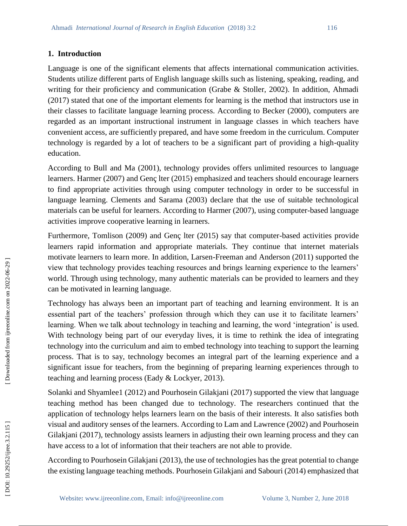### **1. Introduction**

Language is one of the significant elements that affects international communication activities. Students utilize different parts of English language skills such as listening, speaking, reading, and writing for their proficiency and communication (Grabe & Stoller, 2002). In addition, Ahmadi (2017) stated that one of the important elements for learning is the method that instructors use in their classes to facilitate language learning process. According to Becker (2000), computers are regarded as an important instructional instrument in language classes in which teachers have convenient access, are sufficiently prepared, and have some freedom in the curriculum. Computer technology is regarded by a lot of teachers to be a significant part of providing a high -quality education.

According to Bull and Ma (2001), technology provides offers unlimited resources to language learners. Harmer (2007) and Genç lter (2015) emphasized and teachers should encourage learners to find appropriate activities through using computer technology in order to be successful in language learning. Clements and Sarama (2003) declare that the use of suitable technological materials can be useful for learners. According to Harmer (2007), using computer -based language activities improve cooperative learning in learners.

Furthermore, Tomlison (2009) and Genç lter (2015) say that computer -based activities provide learners rapid information and appropriate materials. They continue that internet materials motivate learners to learn more. In addition, Larsen -Freeman and Anderson (2011) supported the view that technology provides teaching resources and brings learning experience to the learners' world. Through using technology, many authentic materials can be provided to learners and they can be motivated in learning language.

Technology has always been an important part of teaching and learning environment. It is an essential part of the teachers' profession through which they can use it to facilitate learners' learning. When we talk about technology in teaching and learning, the word 'integration' is used. With technology being part of our everyday lives, it is time to rethink the idea of integrating technology into the curriculum and aim to embed technology into teaching to support the learning process. That is to say, technology becomes an integral part of the learning experience and a significant issue for teachers, from the beginning of preparing learning experiences through to teaching and learning process (Eady & Lockyer, 2013).

Solanki and Shyamlee1 (2012) and Pourhosein Gilakjani (2017) supported the view that language teaching method has been changed due to technology. The researchers continued that the application of technology helps learners learn on the basis of their interests. It also satisfies both visual and auditory senses of the learners. According to Lam and Lawrence (2002) and Pourhosein Gilakjani (2017), technology assists learners in adjusting their own learning process and they can have access to a lot of information that their teachers are not able to provide.

According to Pourhosein Gilakjani (2013), the use of technologies has the great potential to change the existing language teaching methods. Pourhosein Gilakjani and Sabouri (2014) emphasized that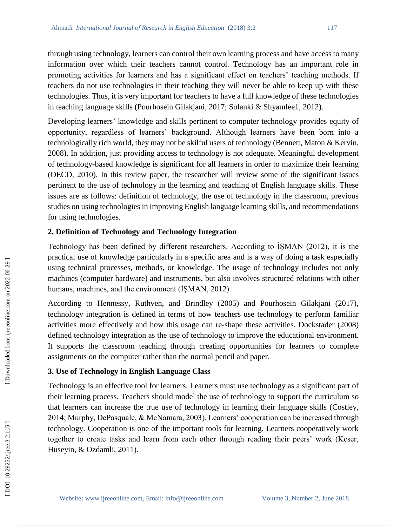through using technology, learners can control their own learning process and have access to many information over which their teachers cannot control. Technology has an important role in promoting activities for learners and has a significant effect on teachers' teaching methods. If teachers do not use technologies in their teaching they will never be able to keep up with these technologies. Thus, it is very important for teachers to have a full knowledge of these technologies in teaching language skills (Pourhosein Gilakjani, 2017; Solanki & Shyamlee1, 2012).

Developing learners' knowledge and skills pertinent to computer technology provides equity of opportunity, regardless of learners' background. Although learners have been born into a technologically rich world, they may not be skilful users of technology (Bennett, Maton & Kervin, 2008). In addition, just providing access to technology is not adequate. Meaningful development of technology -based knowledge is significant for all learners in order to maximize their learning (OECD, 2010). In this review paper, the researcher will review some of the significant issues pertinent to the use of technology in the learning and teaching of English language skills. These issues are as follows: definition of technology, the use of technology in the classroom, previous studies on using technologies in improving English language learning skills, and recommendations for using technologies.

### **2. Definition of Technology and Technology Integration**

Technology has been defined by different researchers. According to İŞMAN (2012), it is the practical use of knowledge particularly in a specific area and is a way of doing a task especially using technical processes, methods, or knowledge. The usage of technology includes not only machines (computer hardware) and instruments, but also involves structured relations with other humans, machines, and the environment (İŞMAN, 2012).

According to Hennessy, Ruthven, and Brindley (2005) and Pourhosein Gilakjani (2017), technology integration is defined in terms of how teachers use technology to perform familiar activities more effectively and how this usage can re -shape these activities. Dockstader (2008) defined technology integration as the use of technology to improve the educational environment. It supports the classroom teaching through creating opportunities for learners to complete assignments on the computer rather than the normal pencil and paper.

## **3. Use of Technology in English Language Class**

Technology is an effective tool for learners. Learners must use technology as a significant part of their learning process. Teachers should model the use of technology to support the curriculum so that learners can increase the true use of technology in learning their language skills (Costley, 2014; Murphy, DePasquale, & McNamara, 2003). Learners' cooperation can be increased through technology. Cooperation is one of the important tools for learning. Learners cooperatively work together to create tasks and learn from each other through reading their peers' work (Keser, Huseyin, & Ozdamli, 2011).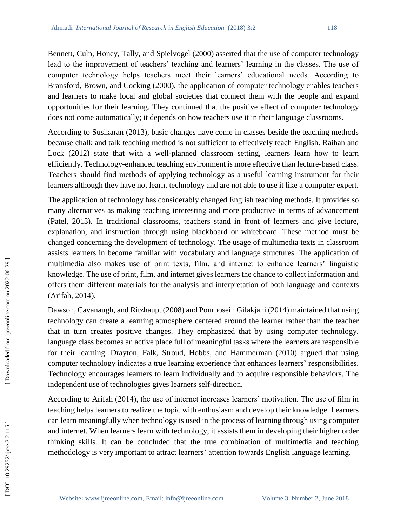Bennett, Culp, Honey, Tally, and Spielvogel (2000) asserted that the use of computer technology lead to the improvement of teachers' teaching and learners' learning in the classes. The use of computer technology helps teachers meet their learners' educational needs. According to Bransford, Brown, and Cocking (2000), the application of computer technology enables teachers and learners to make local and global societies that connect them with the people and expand opportunities for their learning. They continued that the positive effect of computer technology does not come automatically; it depends on how teachers use it in their language classrooms.

According to Susikaran (2013), basic changes have come in classes beside the teaching methods because chalk and talk teaching method is not sufficient to effectively teach English. Raihan and Lock (2012) state that with a well -planned classroom setting, learners learn how to learn efficiently. Technology-enhanced teaching environment is more effective than lecture-based class. Teachers should find methods of applying technology as a useful learning instrument for their learners although they have not learnt technology and are not able to use it like a computer expert.

The application of technology has considerably changed English teaching methods. It provides so many alternatives as making teaching interesting and more productive in terms of advancement (Patel, 2013). In traditional classrooms, teachers stand in front of learners and give lecture, explanation, and instruction through using blackboard or whiteboard. These method must be changed concerning the development of technology. The usage of multimedia texts in classroom assists learners in become familiar with vocabulary and language structures. The application of multimedia also makes use of print texts, film, and internet to enhance learners' linguistic knowledge. The use of print, film, and internet gives learners the chance to collect information and offers them different materials for the analysis and interpretation of both language and contexts (Arifah, 2014).

Dawson, Cavanaugh, and Ritzhaupt (2008) and Pourhosein Gilakjani (2014) maintained that using technology can create a learning atmosphere centered around the learner rather than the teacher that in turn creates positive changes. They emphasized that by using computer technology, language class becomes an active place full of meaningful tasks where the learners are responsible for their learning. Drayton, Falk, Stroud, Hobbs, and Hammerman (2010) argued that using computer technology indicates a true learning experience that enhances learners' responsibilities. Technology encourages learners to learn individually and to acquire responsible behaviors. The independent use of technologies gives learners self-direction.

According to Arifah (2014), the use of internet increases learners' motivation. The use of film in teaching helps learners to realize the topic with enthusiasm and develop their knowledge. Learners can learn meaningfully when technology is used in the process of learning through using computer and internet. When learners learn with technology, it assists them in developing their higher order thinking skills. It can be concluded that the true combination of multimedia and teaching methodology is very important to attract learners' attention towards English language learning.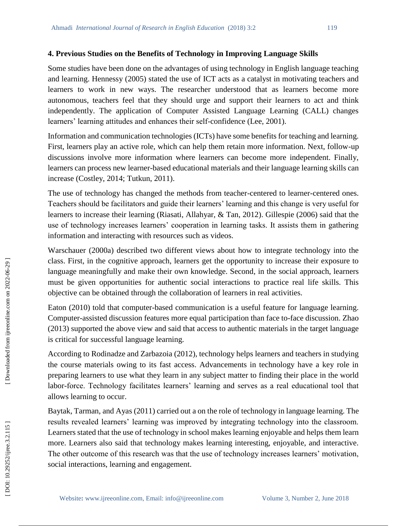#### **4. Previous Studies on the Benefits of Technology in Improving Language Skills**

Some studies have been done on the advantages of using technology in English language teaching and learning. Hennessy (2005) stated the use of ICT acts as a catalyst in motivating teachers and learners to work in new ways. The researcher understood that as learners become more autonomous, teachers feel that they should urge and support their learners to act and think independently. The application of Computer Assisted Language Learning (CALL) changes learners' learning attitudes and enhances their self-confidence (Lee, 2001).

Information and communication technologies (ICTs) have some benefits for teaching and learning. First, learners play an active role, which can help them retain more information. Next, follow -up discussions involve more information where learners can become more independent. Finally, learners can process new learner -based educational materials and their language learning skills can increase (Costley, 2014; Tutkun, 2011).

The use of technology has changed the methods from teacher-centered to learner-centered ones. Teachers should be facilitators and guide their learners' learning and this change is very useful for learners to increase their learning (Riasati, Allahyar, & Tan, 2012). Gillespie (2006) said that the use of technology increases learners' cooperation in learning tasks. It assists them in gathering information and interacting with resources such as videos.

Warschauer (2000a) described two different views about how to integrate technology into the class. First, in the cognitive approach, learners get the opportunity to increase their exposure to language meaningfully and make their own knowledge. Second, in the social approach, learners must be given opportunities for authentic social interactions to practice real life skills. This objective can be obtained through the collaboration of learners in real activities.

Eaton (2010) told that computer -based communication is a useful feature for language learning. Computer -assisted discussion features more equal participation than face to -face discussion. Zhao (2013) supported the above view and said that access to authentic materials in the target language is critical for successful language learning.

According to Rodinadze and Zarbazoia (2012), technology helps learners and teachers in studying the course materials owing to its fast access. Advancements in technology have a key role in preparing learners to use what they learn in any subject matter to finding their place in the world labor -force. Technology facilitates learners' learning and serves as a real educational tool that allows learning to occur.

Baytak, Tarman, and Ayas (2011) carried out a on the role of technology in language learning. The results revealed learners' learning was improved by integrating technology into the classroom. Learners stated that the use of technology in school makes learning enjoyable and helps them learn more. Learners also said that technology makes learning interesting, enjoyable, and interactive. The other outcome of this research was that the use of technology increases learners' motivation, social interactions, learning and engagement.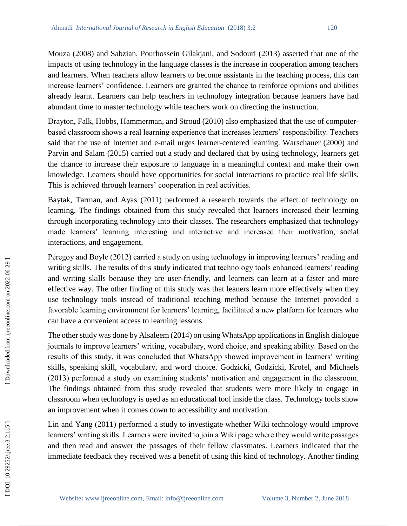Mouza (2008) and Sabzian, Pourhossein Gilakjani, and Sodouri (2013) asserted that one of the impacts of using technology in the language classes is the increase in cooperation among teachers and learners. When teachers allow learners to become assistants in the teaching process, this can increase learners' confidence. Learners are granted the chance to reinforce opinions and abilities already learnt. Learners can help teachers in technology integration because learners have had abundant time to master technology while teachers work on directing the instruction.

Drayton, Falk, Hobbs, Hammerman, and Stroud (2010) also emphasized that the use of computer based classroom shows a real learning experience that increases learners' responsibility. Teachers said that the use of Internet and e-mail urges learner-centered learning. Warschauer (2000) and Parvin and Salam (2015) carried out a study and declared that by using technology, learners get the chance to increase their exposure to language in a meaningful context and make their own knowledge. Learners should have opportunities for social interactions to practice real life skills. This is achieved through learners' cooperation in real activities.

Baytak, Tarman, and Ayas (2011) performed a research towards the effect of technology on learning. The findings obtained from this study revealed that learners increased their learning through incorporating technology into their classes. The researchers emphasized that technology made learners' learning interesting and interactive and increased their motivation, social interactions, and engagement.

Peregoy and Boyle (2012) carried a study on using technology in improving learners' reading and writing skills. The results of this study indicated that technology tools enhanced learners' reading and writing skills because they are user -friendly, and learners can learn at a faster and more effective way. The other finding of this study was that leaners learn more effectively when they use technology tools instead of traditional teaching method because the Internet provided a favorable learning environment for learners' learning, facilitated a new platform for learners who can have a convenient access to learning lessons.

The other study was done by Alsaleem (2014) on using WhatsApp applications in English dialogue journals to improve learners' writing, vocabulary, word choice, and speaking ability. Based on the results of this study, it was concluded that WhatsApp showed improvement in learners' writing skills, speaking skill, vocabulary, and word choice. Godzicki, Godzicki, Krofel, and Michaels (2013) performed a study on examining students' motivation and engagement in the classroom. The findings obtained from this study revealed that students were more likely to engage in classroom when technology is used as an educational tool inside the class. Technology tools show an improvement when it comes down to accessibility and motivation.

Lin and Yang (2011) performed a study to investigate whether Wiki technology would improve learners' writing skills. Learners were invited to join a Wiki page where they would write passages and then read and answer the passages of their fellow classmates. Learners indicated that the immediate feedback they received was a benefit of using this kind of technology. Another finding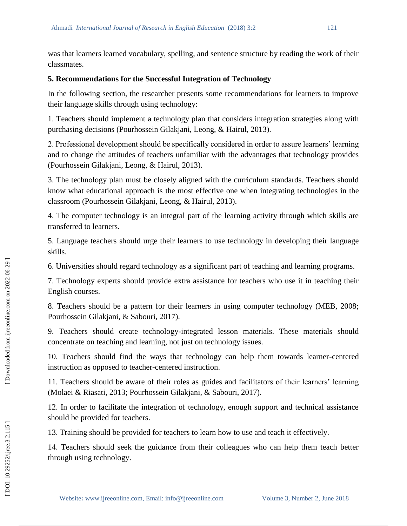was that learners learned vocabulary, spelling, and sentence structure by reading the work of their classmates.

# **5. Recommendations for the Successful Integration of Technology**

In the following section, the researcher presents some recommendations for learners to improve their language skills through using technology:

1. Teachers should implement a technology plan that considers integration strategies along with purchasing decisions (Pourhossein Gilakjani, Leong, & Hairul, 2013).

2. Professional development should be specifically considered in order to assure learners' learning and to change the attitudes of teachers unfamiliar with the advantages that technology provides (Pourhossein Gilakjani, Leong, & Hairul, 2013).

3. The technology plan must be closely aligned with the curriculum standards. Teachers should know what educational approach is the most effective one when integrating technologies in the classroom (Pourhossein Gilakjani, Leong, & Hairul, 2013).

4. The computer technology is an integral part of the learning activity through which skills are transferred to learners.

5. Language teachers should urge their learners to use technology in developing their language skills.

6. Universities should regard technology as a significant part of teaching and learning programs.

7. Technology experts should provide extra assistance for teachers who use it in teaching their English courses.

8. Teachers should be a pattern for their learners in using computer technology (MEB, 2008; Pourhossein Gilakjani, & Sabouri, 2017).

9. Teachers should create technology -integrated lesson materials. These materials should concentrate on teaching and learning, not just on technology issues.

10. Teachers should find the ways that technology can help them towards learner -centered instruction as opposed to teacher -centered instruction.

11. Teachers should be aware of their roles as guides and facilitators of their learners' learning (Molaei & Riasati, 2013; Pourhossein Gilakjani, & Sabouri, 2017).

12. In order to facilitate the integration of technology, enough support and technical assistance should be provided for teachers.

13. Training should be provided for teachers to learn how to use and teach it effectively.

14. Teachers should seek the guidance from their colleagues who can help them teach better through using technology.

2, Jun e 2018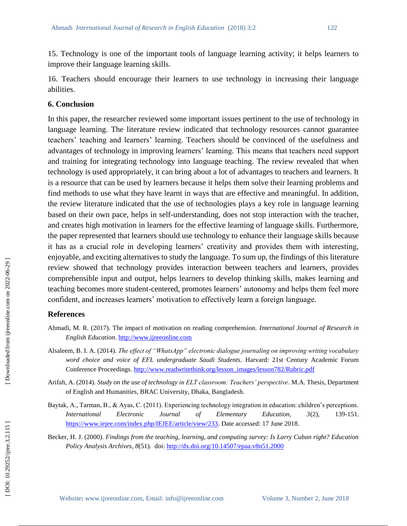15. Technology is one of the important tools of language learning activity; it helps learners to improve their language learning skills.

16. Teachers should encourage their learners to use technology in increasing their language abilities.

#### **6. Conclusion**

In this paper, the researcher reviewed some important issues pertinent to the use of technology in language learning. The literature review indicated that technology resources cannot guarantee teachers' teaching and learners' learning. Teachers should be convinced of the usefulness and advantages of technology in improving learners' learning. This means that teachers need support and training for integrating technology into language teaching. The review revealed that when technology is used appropriately, it can bring about a lot of advantages to teachers and learners. It is a resource that can be used by learners because it helps them solve their learning problems and find methods to use what they have learnt in ways that are effective and meaningful. In addition, the review literature indicated that the use of technologies plays a key role in language learning based on their own pace, helps in self-understanding, does not stop interaction with the teacher, and creates high motivation in learners for the effective learning of language skills. Furthermore, the paper represented that learners should use technology to enhance their language skills because it has as a crucial role in developing learners' creativity and provides them with interesting, enjoyable, and exciting alternatives to study the language. To sum up, the findings of this literature review showed that technology provides interaction between teachers and learners, provides comprehensible input and output, helps learners to develop thinking skills, makes learning and teaching becomes more student -centered, promotes learners' autonomy and helps them feel more confident, and increases learners' motivation to effectively learn a foreign language.

#### **References**

- Ahmadi, M. R. (2017). The impact of motivation on reading comprehension. *International Journal of Research in English Education*. [http://www.ijreeonline.com](http://www.ijreeonline.com/)
- Alsaleem, B. I. A. (2014). *The effect of "WhatsApp" electronic dialogue journaling on improving writing vocabulary word choice and voice of EFL undergraduate Saudi Students.* Harvard: 21st Century Academic Forum Conference Proceedings. [http://www.readwritethink.org/lesson\\_images/lesson782/Rubric.pdf](http://www.readwritethink.org/lesson_images/lesson782/Rubric.pdf)
- Arifah, A. (2014). *Study on the use of technology in ELT classroom: Teachers' perspective*. M.A. Thesis, Department of English and Humanities, BRAC University, Dhaka, Bangladesh.
- Baytak, A., Tarman, B., & Ayas, C. (2011). Experiencing technology integration in education: children's perceptions. *International Electronic Journal of Elementary Education, 3(2),* 139-151. [https://www.iejee.com/index.php/IEJEE/article/view/233.](https://www.iejee.com/index.php/IEJEE/article/view/233) Date accessed: 17 June 2018.
- Becker, H. J. (2000). *Findings from the teaching, learning, and computing survey: Is Larry Cuban right? Education Policy Analysis Archives*, *8*(51). doi[: http://dx.doi.org/10.14507/epaa.v8n51.2000](http://dx.doi.org/10.14507/epaa.v8n51.2000)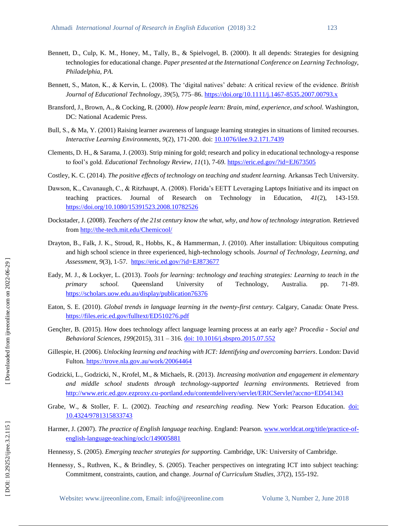- Bennett, D., Culp, K. M., Honey, M., Tally, B., & Spielvogel, B. (2000). It all depends: Strategies for designing technologies for educational change. *Paper presented at the International Conference on Learning Technology, Philadelphia, PA.*
- Bennett, S., Maton, K., & Kervin, L. (2008). The 'digital natives' debate: A critical review of the evidence. *British Journal of Educational Technology, 39*(5), 775 –86[. https://doi.org/10.1111/j.1467](https://doi.org/10.1111/j.1467-8535.2007.00793.x) -8535.2007.00793.x
- Bransford, J., Brown, A., & Cocking, R. (2000). *How people learn: Brain, mind, experience, and school.* Washington, DC: National Academic Press.
- Bull, S., & Ma, Y. (2001) Raising learner awareness of language learning strategies in situations of limited recourses. *Interactive Learning Environments, 9*(2), 171 -200. doi[: 10.1076/ilee.9.2.171.7439](https://doi.org/10.1076/ilee.9.2.171.7439)
- Clements, D. H., & Sarama, J. (2003). Strip mining for gold; research and policy in educational technology-a response to fool's gold. *Educational Technology Review, 11*(1), 7-69. <https://eric.ed.gov/?id=EJ673505>
- Costley, K. C. (2014). *The positive effects of technology on teaching and student learning.* Arkansas Tech University.
- Dawson, K., Cavanaugh, C., & Ritzhaupt, A. (2008). Florida's EETT Leveraging Laptops Initiative and its impact on teaching practices. [Journal of Research on Technology in Education](https://www.tandfonline.com/toc/ujrt20/current)  $41(2)$ , 143-159. <https://doi.org/10.1080/15391523.2008.10782526>
- Dockstader, J. (2008). *Teachers of the 21st century know the what, why, and how of technology integration*. Retrieved from http://the[-tech.mit.edu/Chemicool/](http://the-tech.mit.edu/Chemicool/)
- Drayton, B., Falk, J. K., Stroud, R., Hobbs, K., & Hammerman, J. (2010). After installation: Ubiquitous computing and high school science in three experienced, high -technology schools. *Journal of Technology, Learning, and Assessment, 9*(3), 1 -57*.* <https://eric.ed.gov/?id=EJ873677>
- Eady, M. J., & Lockyer, L. (2013). *Tools for learning: technology and teaching strategies: Learning to teach in the primary school.* Queensland University of Technology, Australia. pp. 71-89. <https://scholars.uow.edu.au/display/publication76376>
- Eaton, S. E. (2010). *Global trends in language learning in the twenty -first century.* Calgary, Canada: Onate Press. <https://files.eric.ed.gov/fulltext/ED510276.pdf>
- Gençlter, B. (2015). How does technology affect language learning process at an early age? *Procedia - Social and Behavioral Sciences, 199*(2015), 311 – 316. [doi: 10.1016/j.sbspro.2015.07.552](doi:%2010.1016/j.sbspro.2015.07.552)
- Gillespie, H. (2006). *Unlocking learning and teaching with ICT: Identifying and overcoming barriers*. London: David Fulton.<https://trove.nla.gov.au/work/20064464>
- Godzicki, L., Godzicki, N., Krofel, M., & Michaels, R. (2013). *Increasing motivation and engagement in elementary and middle school students through technology -supported learning environments.* Retrieved from http://www.eric.ed.gov.ezproxy.cu [-portland.edu/contentdelivery/servlet/ERICServlet?accno=ED541343](http://www.eric.ed.gov.ezproxy.cu-portland.edu/contentdelivery/servlet/ERICServlet?accno=ED541343)
- Grabe, W., & Stoller, F. L. (2002). *Teaching and researching reading.* New York: Pearson Education. [doi:](file:///C:/Users/ASUS/Desktop/V3,N2/New%20folder/10.4324/9781315833743)  [10.4324/9781315833743](file:///C:/Users/ASUS/Desktop/V3,N2/New%20folder/10.4324/9781315833743)
- Harmer, J. (2007). The practice of English language teaching. England: Pearson. [www.worldcat.org/title/practice](http://www.worldcat.org/title/practice-of-english-language-teaching/oclc/149005881)-of[english-language-teaching/oclc/149005881](http://www.worldcat.org/title/practice-of-english-language-teaching/oclc/149005881)

Hennessy, S. (2005). *Emerging teacher strategies for supporting.* Cambridge, UK: University of Cambridge.

Hennessy, S., Ruthven, K., & Brindley, S. (2005). Teacher perspectives on integrating ICT into subject teaching: Commitment, constraints, caution, and change. *Journal of Curriculum Studies, 37*(2), 155 -192.

DOI: 10.29252/ijree.3.2.115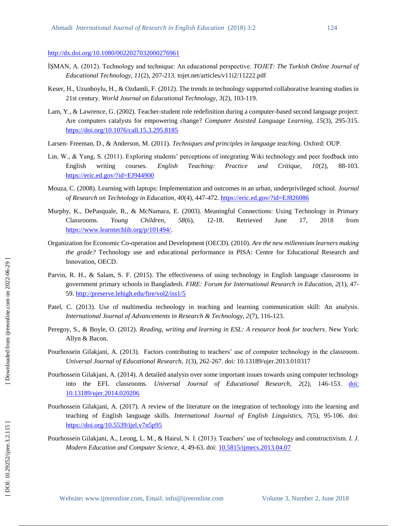#### <http://dx.doi.org/10.1080/0022027032000276961>

- İŞMAN, A. (2012). Technology and technique: An educational perspective. *TOJET: The Turkish Online Journal of Educational Technology, 11*(2), 207 -213. tojet.net/articles/v11i2/11222.pdf
- Keser, H., Uzunboylu, H., & Ozdamli, F. (2012). The trends in technology supported collaborative learning studies in 21st century. *World Journal on Educational Technology, 3*(2), 103 -119.
- Lam, Y., & Lawrence, G. (2002). Teacher-student role redefinition during a computer-based second language project: Are computers catalysts for empowering change? *Computer Assisted Language Learning, 15*(3), 295 -315. <https://doi.org/10.1076/call.15.3.295.8185>
- Larsen Freeman, D., & Anderson, M. (2011). *Techniques and principles in language teaching.* Oxford: OUP.
- Lin, W., & Yang, S. (2011). Exploring students' perceptions of integrating Wiki technology and peer feedback into English writing courses. *English Teaching: Practice and Critique, 10*(2), 88 88-103. <https://eric.ed.gov/?id=EJ944900>
- Mouza, C. (2008). Learning with laptops: Implementation and outcomes in an urban, underprivileged school*. Journal of Research on Technology in Education, 40*(4), 447 -472.<https://eric.ed.gov/?id=EJ826086>
- Murphy, K., DePasquale, R., & McNamara, E. (2003). Meaningful Connections: Using Technology in Primary Classrooms. *Young Children, 58*(6), 12 Retrieved June 17, 2018 from [https://www.learntechlib.org/p/101494/.](https://www.learntechlib.org/p/101494/)
- Organization for Economic Co -operation and Development (OECD). (2010). *Are the new millennium learners making the grade?* Technology use and educational performance in PISA: Centre for Educational Research and Innovation, OECD.
- Parvin, R. H., & Salam, S. F. (2015). The effectiveness of using technology in English language classrooms in government primary schools in Bangladesh. *FIRE: Forum for International Research in Education, 2*(1), 47 - 59.<http://preserve.lehigh.edu/fire/vol2/iss1/5>
- Patel, C. (2013). Use of multimedia technology in teaching and learning communication skill: An analysis. *International Journal of Advancements in Research & Technology, 2*(7), 116 -123.
- Peregoy, S., & Boyle, O. (2012). *Reading, writing and learning in ESL: A resource book for teachers*. New York: Allyn & Bacon.
- Pourhossein Gilakjani, A. (2013). Factors contributing to teachers' use of computer technology in the classroom. *Universal Journal of Educational Research, 1*(3), 262 -267. doi: 10.13189/ujer.2013.010317
- Pourhossein Gilakjani, A. (2014). A detailed analysis over some important issues towards using computer technology into the EFL classrooms. *Universal Journal of Educational Research*, 2(2), 146-153. doi: [10.13189/ujer.2014.020206](doi:%2010.13189/ujer.2014.020206)
- Pourhossein Gilakjani, A. (2017). A review of the literature on the integration of technology into the learning and teaching of English language skills. *International Journal of English Linguistics*, 7(5), 95-106. doi: <https://doi.org/10.5539/ijel.v7n5p95>
- Pourhossein Gilakjani, A., Leong, L. M., & Hairul, N. I. (2013). Teachers' use of technology and constructivism. *I. J. Modern Education and Computer Science*, *4*, 49 -63. doi[: 10.5815/ijmecs.2013.04.07](file:///C:/Users/ASUS/Desktop/V3,N2/New%20folder/10.5815/ijmecs.2013.04.07)